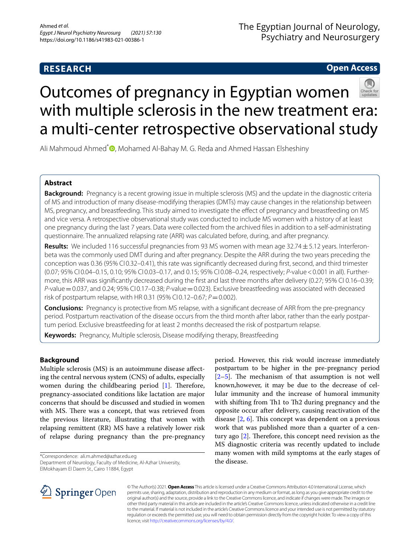# **RESEARCH**

# The Egyptian Journal of Neurology, Psychiatry and Neurosurgery

# **Open Access**



Ali Mahmoud Ahmed<sup>\*</sup> [,](http://orcid.org/0000-0002-5018-5539) Mohamed Al-Bahay M. G. Reda and Ahmed Hassan Elsheshiny

# **Abstract**

**Background:** Pregnancy is a recent growing issue in multiple sclerosis (MS) and the update in the diagnostic criteria of MS and introduction of many disease-modifying therapies (DMTs) may cause changes in the relationship between MS, pregnancy, and breastfeeding. This study aimed to investigate the efect of pregnancy and breastfeeding on MS and vice versa. A retrospective observational study was conducted to include MS women with a history of at least one pregnancy during the last 7 years. Data were collected from the archived fles in addition to a self-administrating questionnaire. The annualized relapsing rate (ARR) was calculated before, during, and after pregnancy.

**Results:** We included 116 successful pregnancies from 93 MS women with mean age 32.74±5.12 years. Interferonbeta was the commonly used DMT during and after pregnancy. Despite the ARR during the two years preceding the conception was 0.36 (95% CI0.32–0.41), this rate was significantly decreased during first, second, and third trimester (0.07; 95% CI 0.04–0.15, 0.10; 95% CI 0.03–0.17, and 0.15; 95% CI 0.08–0.24, respectively; *P*-value<0.001 in all). Further‑ more, this ARR was signifcantly decreased during the frst and last three months after delivery (0.27; 95% CI 0.16–0.39; *P*-value=0.037, and 0.24; 95% CI 0.17–0.38; *P*-value=0.023). Exclusive breastfeeding was associated with deceased risk of postpartum relapse, with HR 0.31 (95% CI 0.12–0.67;  $P = 0.002$ ).

**Conclusions:** Pregnancy is protective from MS relapse, with a signifcant decrease of ARR from the pre-pregnancy period. Postpartum reactivation of the disease occurs from the third month after labor, rather than the early postpartum period. Exclusive breastfeeding for at least 2 months decreased the risk of postpartum relapse.

**Keywords:** Pregnancy, Multiple sclerosis, Disease modifying therapy, Breastfeeding

# **Background**

Multiple sclerosis (MS) is an autoimmune disease afecting the central nervous system (CNS) of adults, especially women during the childbearing period  $[1]$  $[1]$ . Therefore, pregnancy-associated conditions like lactation are major concerns that should be discussed and studied in women with MS. There was a concept, that was retrieved from the previous literature, illustrating that women with relapsing remittent (RR) MS have a relatively lower risk of relapse during pregnancy than the pre-pregnancy

\*Correspondence: ali.m.ahmed@azhar.edu.eg

Department of Neurology, Faculty of Medicine, Al-Azhar University, ElMokhayam El Daem St., Cairo 11884, Egypt

period. However, this risk would increase immediately postpartum to be higher in the pre-pregnancy period  $[2-5]$  $[2-5]$ . The mechanism of that assumption is not well known,however, it may be due to the decrease of cellular immunity and the increase of humoral immunity with shifting from Th1 to Th2 during pregnancy and the opposite occur after delivery, causing reactivation of the disease  $[2, 6]$  $[2, 6]$  $[2, 6]$  $[2, 6]$ . This concept was dependent on a previous work that was published more than a quarter of a century ago  $[2]$  $[2]$ . Therefore, this concept need revision as the MS diagnostic criteria was recently updated to include many women with mild symptoms at the early stages of the disease.



© The Author(s) 2021. **Open Access** This article is licensed under a Creative Commons Attribution 4.0 International License, which permits use, sharing, adaptation, distribution and reproduction in any medium or format, as long as you give appropriate credit to the original author(s) and the source, provide a link to the Creative Commons licence, and indicate if changes were made. The images or other third party material in this article are included in the article's Creative Commons licence, unless indicated otherwise in a credit line to the material. If material is not included in the article's Creative Commons licence and your intended use is not permitted by statutory regulation or exceeds the permitted use, you will need to obtain permission directly from the copyright holder. To view a copy of this licence, visit [http://creativecommons.org/licenses/by/4.0/.](http://creativecommons.org/licenses/by/4.0/)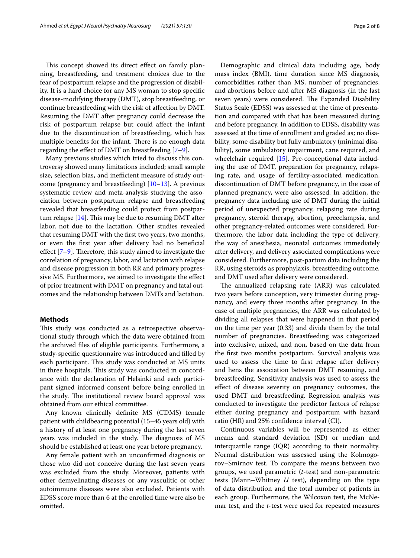This concept showed its direct effect on family planning, breastfeeding, and treatment choices due to the fear of postpartum relapse and the progression of disability. It is a hard choice for any MS woman to stop specifc disease-modifying therapy (DMT), stop breastfeeding, or continue breastfeeding with the risk of afection by DMT. Resuming the DMT after pregnancy could decrease the risk of postpartum relapse but could afect the infant due to the discontinuation of breastfeeding, which has multiple benefits for the infant. There is no enough data regarding the efect of DMT on breastfeeding [\[7](#page-6-4)[–9](#page-7-0)].

Many previous studies which tried to discuss this controversy showed many limitations included; small sample size, selection bias, and inefficient measure of study outcome (pregnancy and breastfeeding) [\[10–](#page-7-1)[13\]](#page-7-2). A previous systematic review and meta-analysis studying the association between postpartum relapse and breastfeeding revealed that breastfeeding could protect from postpartum relapse  $[14]$  $[14]$ . This may be due to resuming DMT after labor, not due to the lactation. Other studies revealed that resuming DMT with the frst two years, two months, or even the frst year after delivery had no benefcial effect  $[7-9]$  $[7-9]$  $[7-9]$ . Therefore, this study aimed to investigate the correlation of pregnancy, labor, and lactation with relapse and disease progression in both RR and primary progressive MS. Furthermore, we aimed to investigate the efect of prior treatment with DMT on pregnancy and fatal outcomes and the relationship between DMTs and lactation.

### **Methods**

This study was conducted as a retrospective observational study through which the data were obtained from the archived fles of eligible participants. Furthermore, a study-specifc questionnaire was introduced and flled by each participant. This study was conducted at MS units in three hospitals. This study was conducted in concordance with the declaration of Helsinki and each participant signed informed consent before being enrolled in the study. The institutional review board approval was obtained from our ethical committee.

Any known clinically defnite MS (CDMS) female patient with childbearing potential (15–45 years old) with a history of at least one pregnancy during the last seven years was included in the study. The diagnosis of MS should be established at least one year before pregnancy.

Any female patient with an unconfrmed diagnosis or those who did not conceive during the last seven years was excluded from the study. Moreover, patients with other demyelinating diseases or any vasculitic or other autoimmune diseases were also excluded. Patients with EDSS score more than 6 at the enrolled time were also be omitted.

Demographic and clinical data including age, body mass index (BMI), time duration since MS diagnosis, comorbidities rather than MS, number of pregnancies, and abortions before and after MS diagnosis (in the last seven years) were considered. The Expanded Disability Status Scale (EDSS) was assessed at the time of presentation and compared with that has been measured during and before pregnancy. In addition to EDSS, disability was assessed at the time of enrollment and graded as; no disability, some disability but fully ambulatory (minimal disability), some ambulatory impairment, cane required, and wheelchair required [\[15\]](#page-7-4). Pre-conceptional data including the use of DMT, preparation for pregnancy, relapsing rate, and usage of fertility-associated medication, discontinuation of DMT before pregnancy, in the case of planned pregnancy, were also assessed. In addition, the pregnancy data including use of DMT during the initial period of unexpected pregnancy, relapsing rate during pregnancy, steroid therapy, abortion, preeclampsia, and other pregnancy-related outcomes were considered. Furthermore, the labor data including the type of delivery, the way of anesthesia, neonatal outcomes immediately after delivery, and delivery associated complications were considered. Furthermore, post-partum data including the RR, using steroids as prophylaxis, breastfeeding outcome, and DMT used after delivery were considered.

The annualized relapsing rate (ARR) was calculated two years before conception, very trimester during pregnancy, and every three months after pregnancy. In the case of multiple pregnancies, the ARR was calculated by dividing all relapses that were happened in that period on the time per year (0.33) and divide them by the total number of pregnancies. Breastfeeding was categorized into exclusive, mixed, and non, based on the data from the frst two months postpartum. Survival analysis was used to assess the time to frst relapse after delivery and hens the association between DMT resuming, and breastfeeding. Sensitivity analysis was used to assess the efect of disease severity on pregnancy outcomes, the used DMT and breastfeeding. Regression analysis was conducted to investigate the predictor factors of relapse either during pregnancy and postpartum with hazard ratio (HR) and 25% confdence interval (CI).

Continuous variables will be represented as either means and standard deviation (SD) or median and interquartile range (IQR) according to their normality. Normal distribution was assessed using the Kolmogorov–Smirnov test. To compare the means between two groups, we used parametric (*t*-test) and non-parametric tests (Mann–Whitney *U* test), depending on the type of data distribution and the total number of patients in each group. Furthermore, the Wilcoxon test, the McNemar test, and the *t*-test were used for repeated measures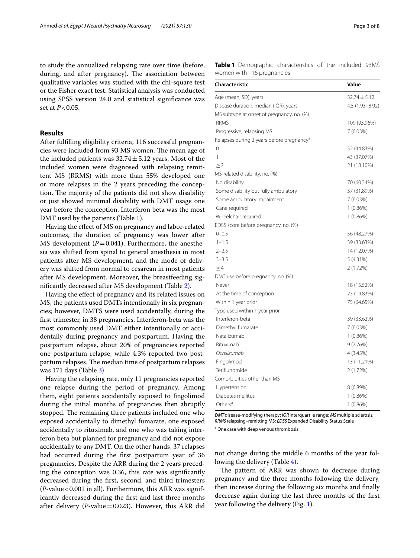to study the annualized relapsing rate over time (before, during, and after pregnancy). The association between qualitative variables was studied with the chi-square test or the Fisher exact test. Statistical analysis was conducted using SPSS version 24.0 and statistical signifcance was set at *P*<0.05.

## **Results**

After fulflling eligibility criteria, 116 successful pregnancies were included from 93 MS women. The mean age of the included patients was  $32.74 \pm 5.12$  years. Most of the included women were diagnosed with relapsing remittent MS (RRMS) with more than 55% developed one or more relapses in the 2 years preceding the conception. The majority of the patients did not show disability or just showed minimal disability with DMT usage one year before the conception. Interferon beta was the most DMT used by the patients (Table [1](#page-2-0)).

Having the efect of MS on pregnancy and labor-related outcomes, the duration of pregnancy was lower after MS development  $(P=0.041)$ . Furthermore, the anesthesia was shifted from spinal to general anesthesia in most patients after MS development, and the mode of delivery was shifted from normal to cesarean in most patients after MS development. Moreover, the breastfeeding signifcantly decreased after MS development (Table [2](#page-3-0)).

Having the efect of pregnancy and its related issues on MS, the patients used DMTs intentionally in six pregnancies; however, DMTS were used accidentally, during the frst trimester, in 38 pregnancies. Interferon-beta was the most commonly used DMT either intentionally or accidentally during pregnancy and postpartum. Having the postpartum relapse, about 20% of pregnancies reported one postpartum relapse, while 4.3% reported two postpartum relapses. The median time of postpartum relapses was 171 days (Table [3\)](#page-4-0).

Having the relapsing rate, only 11 pregnancies reported one relapse during the period of pregnancy. Among them, eight patients accidentally exposed to fngolimod during the initial months of pregnancies then abruptly stopped. The remaining three patients included one who exposed accidentally to dimethyl fumarate, one exposed accidentally to rituximab, and one who was taking interferon beta but planned for pregnancy and did not expose accidentally to any DMT. On the other hands, 37 relapses had occurred during the frst postpartum year of 36 pregnancies. Despite the ARR during the 2 years preceding the conception was 0.36, this rate was signifcantly decreased during the frst, second, and third trimesters (*P*-value<0.001 in all). Furthermore, this ARR was significantly decreased during the frst and last three months after delivery ( $P$ -value=0.023). However, this ARR did <span id="page-2-0"></span>**Table 1** Demographic characteristics of the included 93MS women with 116 pregnancies

| <b>Characteristic</b>                                 | Value            |
|-------------------------------------------------------|------------------|
| Age (mean, SD), years                                 | $32.74 \pm 5.12$ |
| Disease duration, median (IQR), years                 | 4.5 (1.93-8.92)  |
| MS subtype at onset of pregnancy, no. (%)             |                  |
| <b>RRMS</b>                                           | 109 (93.96%)     |
| Progressive, relapsing MS                             | 7 (6.03%)        |
| Relapses during 2 years before pregnancy <sup>a</sup> |                  |
| 0                                                     | 52 (44.83%)      |
| 1                                                     | 43 (37.07%)      |
| $\geq$ 2                                              | 21 (18.10%)      |
| MS-related disability, no. (%)                        |                  |
| No disability                                         | 70 (60.34%)      |
| Some disability but fully ambulatory                  | 37 (31.89%)      |
| Some ambulatory impairment                            | 7 (6.03%)        |
| Cane required                                         | $1(0.86\%)$      |
| Wheelchair required                                   | $1(0.86\%)$      |
| EDSS score before pregnancy, no. (%)                  |                  |
| $0 - 0.5$                                             | 56 (48.27%)      |
| $1 - 1.5$                                             | 39 (33.63%)      |
| $2 - 2.5$                                             | 14 (12.07%)      |
| $3 - 3.5$                                             | $5(4.31\%)$      |
| $\geq 4$                                              | 2 (1.72%)        |
| DMT use before pregnancy, no. (%)                     |                  |
| Never                                                 | 18 (15.52%)      |
| At the time of conception                             | 23 (19.83%)      |
| Within 1 year prior                                   | 75 (64.65%)      |
| Type used within 1 year prior                         |                  |
| Interferon-beta                                       | 39 (33.62%)      |
| Dimethyl fumarate                                     | 7 (6.03%)        |
| Natalizumab                                           | $1(0.86\%)$      |
| Rituximab                                             | 9(7.76%)         |
| Ocrelizumab                                           | 4 (3.45%)        |
| Fingolimod                                            | 13 (11.21%)      |
| Teriflunomide                                         | 2 (1.72%)        |
| Comorbidities other than MS                           |                  |
| Hypertension                                          | 8 (6.89%)        |
| Diabetes mellitus                                     | $1(0.86\%)$      |
| Others <sup>a</sup>                                   | 1 (0.86%)        |

*DMT*disease-modifying therapy; *IQR*interquartile range; *MS*multiple sclerosis; *RRMS* relapsing–remitting MS; *EDSS* Expanded Disability Status Scale

a One case with deep venous thrombosis

not change during the middle 6 months of the year following the delivery (Table [4](#page-4-1)).

The pattern of ARR was shown to decrease during pregnancy and the three months following the delivery, then increase during the following six months and fnally decrease again during the last three months of the frst year following the delivery (Fig. [1\)](#page-5-0).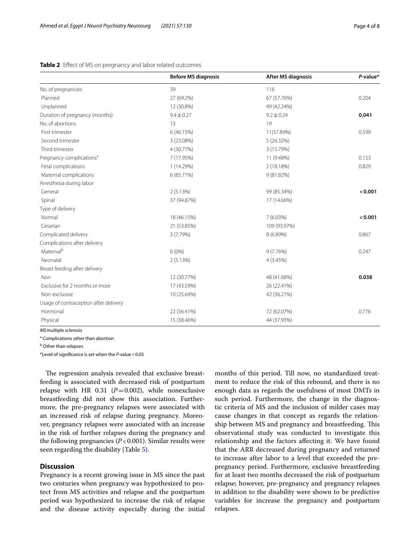|                                       | <b>Before MS diagnosis</b> | <b>After MS diagnosis</b> | $P$ -value* |
|---------------------------------------|----------------------------|---------------------------|-------------|
| No. of pregnancies                    | 39                         | 116                       |             |
| Planned                               | 27 (69.2%)                 | 67 (57.76%)               | 0.204       |
| Unplanned                             | 12 (30.8%)                 | 49 (42.24%)               |             |
| Duration of pregnancy (months)        | $9.4 \pm 0.27$             | $9.2 \pm 0.24$            | 0.041       |
| No. of abortions                      | 13                         | 19                        |             |
| First trimester                       | 6 (46.15%)                 | 11(57.89%)                | 0.599       |
| Second trimester                      | 3 (23.08%)                 | 5(26.32%)                 |             |
| Third trimester                       | 4 (30.77%)                 | 3 (15.79%)                |             |
| Pregnancy complications <sup>a</sup>  | 7 (17.95%)                 | 11 (9.48%)                | 0.153       |
| Fetal complications                   | 1 (14.29%)                 | 2 (18.18%)                | 0.829       |
| Maternal complications                | 6 (85.71%)                 | 9 (81.82%)                |             |
| Anesthesia during labor               |                            |                           |             |
| General                               | 2(5.13%)                   | 99 (85.34%)               | < 0.001     |
| Spinal                                | 37 (94.87%)                | 17 (14.66%)               |             |
| Type of delivery                      |                            |                           |             |
| Normal                                | 18 (46.15%)                | 7 (6.03%)                 | < 0.001     |
| Cesarian                              | 21 (53.85%)                | 109 (93.97%)              |             |
| Complicated delivery                  | 3 (7.79%)                  | 8 (6.89%)                 | 0.867       |
| Complications after delivery          |                            |                           |             |
| Maternal <sup>b</sup>                 | $0(0\%)$                   | 9(7.76%)                  | 0.247       |
| Neonatal                              | 2(5.13%)                   | 4(3.45%)                  |             |
| Breast feeding after delivery         |                            |                           |             |
| Non                                   | 12 (30.77%)                | 48 (41.68%)               | 0.038       |
| Exclusive for 2 months or more        | 17 (43.59%)                | 26 (22.41%)               |             |
| Non-exclusive                         | 10 (25.64%)                | 42 (36.21%)               |             |
| Usage of contraception after delivery |                            |                           |             |
| Hormonal                              | 22 (56.41%)                | 72 (62.07%)               | 0.776       |
| Physical                              | 15 (38.46%)                | 44 (37.93%)               |             |

## <span id="page-3-0"></span>**Table 2** Efect of MS on pregnancy and labor related outcomes

*MS*multiple sclerosis

<sup>a</sup> Complications other than abortion

<sup>b</sup> Other than relapses

\*Level of signifcance is set when the *P*-value<0.05

The regression analysis revealed that exclusive breastfeeding is associated with decreased risk of postpartum relapse with HR 0.31 ( $P=0.002$ ), while nonexclusive breastfeeding did not show this association. Furthermore, the pre-pregnancy relapses were associated with an increased risk of relapse during pregnancy. Moreover, pregnancy relapses were associated with an increase in the risk of further relapses during the pregnancy and the following pregnancies (*P*<0.001). Similar results were seen regarding the disability (Table [5](#page-5-1)).

## **Discussion**

Pregnancy is a recent growing issue in MS since the past two centuries when pregnancy was hypothesized to protect from MS activities and relapse and the postpartum period was hypothesized to increase the risk of relapse and the disease activity especially during the initial months of this period. Till now, no standardized treatment to reduce the risk of this rebound, and there is no enough data as regards the usefulness of most DMTs in such period. Furthermore, the change in the diagnostic criteria of MS and the inclusion of milder cases may cause changes in that concept as regards the relationship between MS and pregnancy and breastfeeding. This observational study was conducted to investigate this relationship and the factors afecting it. We have found that the ARR decreased during pregnancy and returned to increase after labor to a level that exceeded the prepregnancy period. Furthermore, exclusive breastfeeding for at least two months decreased the risk of postpartum relapse; however, pre-pregnancy and pregnancy relapses in addition to the disability were shown to be predictive variables for increase the pregnancy and postpartum relapses.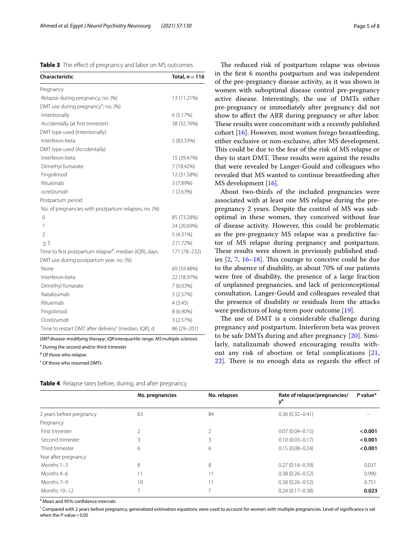<span id="page-4-0"></span>

| <b>Characteristic</b>                                              | Total, $n = 116$ |
|--------------------------------------------------------------------|------------------|
| Pregnancy                                                          |                  |
| Relapse during pregnancy, no. (%)                                  | 13 (11.21%)      |
| DMT use during pregnancy <sup>a</sup> , no. (%)                    |                  |
| Intentionally                                                      | 6(5.17%)         |
| Accidentally (at first trimester)                                  | 38 (32.76%)      |
| DMT type used (Intentionally)                                      |                  |
| Interferon-beta                                                    | 5 (83.33%)       |
| DMT type used (Accidentally)                                       |                  |
| Interferon-beta                                                    | 15 (39.47%)      |
| Dimethyl fumarate                                                  | 7 (18.42%)       |
| Fingolimod                                                         | 12 (31.58%)      |
| Rituximab                                                          | 3 (7.89%)        |
| ocrelizumab                                                        | 1(2.63%)         |
| Postpartum period                                                  |                  |
| No. of pregnancies with postpartum relapses, no. (%)               |                  |
| $\mathbf 0$                                                        | 85 (73.28%)      |
| 1                                                                  | 24 (20.69%)      |
| $\overline{2}$                                                     | $5(4.31\%)$      |
| > 3                                                                | 2(1.72%)         |
| Time to first postpartum relapse <sup>b</sup> , median (IQR), days | 171 (78-232)     |
| DMT use during postpartum year, no. (%)                            |                  |
| None                                                               | 69 (59.48%)      |
| Interferon-beta                                                    | 22 (18.97%)      |
| Dimethyl fumarate                                                  | 7 (6.03%)        |
| Natalizumab                                                        | 3(2.57%)         |
| Rituximab                                                          | 4(3.45)          |
| Fingolimod                                                         | 8 (6.90%)        |
| Ocrelizumab                                                        | 3(2.57%)         |
| Time to restart DMT after delivery <sup>c</sup> (median, IQR), d   | 86 (29-201)      |

*DMT*disease-modifying therapy; *IQR*interquartile range; *MS*multiple sclerosis <sup>a</sup> During the second and/or third trimester

<sup>b</sup> Of those who relapse

<sup>c</sup> Of those who resumed DMTs

<span id="page-4-1"></span>

|  |  |  | Table 4 Relapse rates before, during, and after pregnancy |  |
|--|--|--|-----------------------------------------------------------|--|
|--|--|--|-----------------------------------------------------------|--|

The reduced risk of postpartum relapse was obvious in the frst 6 months postpartum and was independent of the pre-pregnancy disease activity, as it was shown in women with suboptimal disease control pre-pregnancy active disease. Interestingly, the use of DMTs either pre-pregnancy or immediately after pregnancy did not show to afect the ARR during pregnancy or after labor. These results were concomitant with a recently published cohort [[16](#page-7-5)]. However, most women forego breastfeeding, either exclusive or non-exclusive, after MS development. This could be due to the fear of the risk of MS relapse or they to start DMT. These results were against the results that were revealed by Langer-Gould and colleagues who revealed that MS wanted to continue breastfeeding after MS development [[16\]](#page-7-5).

About two-thirds of the included pregnancies were associated with at least one MS relapse during the prepregnancy 2 years. Despite the control of MS was suboptimal in these women, they conceived without fear of disease activity. However, this could be problematic as the pre-pregnancy MS relapse was a predictive factor of MS relapse during pregnancy and postpartum. These results were shown in previously published studies  $[2, 7, 16-18]$  $[2, 7, 16-18]$  $[2, 7, 16-18]$  $[2, 7, 16-18]$  $[2, 7, 16-18]$  $[2, 7, 16-18]$ . This courage to conceive could be due to the absence of disability, as about 70% of our patients were free of disability, the presence of a large fraction of unplanned pregnancies, and lack of periconceptional consultation. Langer-Gould and colleagues revealed that the presence of disability or residuals from the attacks were predictors of long-term poor outcome [[19\]](#page-7-7).

The use of DMT is a considerable challenge during pregnancy and postpartum. Interferon beta was proven to be safe DMTs during and after pregnancy [[20\]](#page-7-8). Similarly, natalizumab showed encouraging results without any risk of abortion or fetal complications [\[21](#page-7-9),  $22$ ]. There is no enough data as regards the effect of

|                          | No. pregnancies | No. relapses | Rate of relapse/pregnancies/<br>$v^d$ | P value* |
|--------------------------|-----------------|--------------|---------------------------------------|----------|
| 2 years before pregnancy | 63              | 84           | $0.36(0.32 - 0.41)$                   |          |
| Pregnancy                |                 |              |                                       |          |
| First trimester          |                 | C,           | $0.07(0.04 - 0.15)$                   | < 0.001  |
| Second trimester         | 3               | 3            | $0.10(0.03 - 0.17)$                   | < 0.001  |
| Third trimester          | 6               | 6            | $0.15(0.08 - 0.24)$                   | < 0.001  |
| Year after pregnancy     |                 |              |                                       |          |
| Months $1-3$             | 8               | 8            | $0.27(0.16 - 0.39)$                   | 0.037    |
| Months 4-6               | 11              | 11           | $0.38(0.26 - 0.52)$                   | 0.990    |
| Months 7-9               | 10              |              | $0.38(0.26 - 0.52)$                   | 0.751    |
| Months 10-12             |                 |              | $0.24(0.17 - 0.38)$                   | 0.023    |

<sup>a</sup> Mean and 95% confidence intervals

\* Compared with 2 years before pregnancy, generalized estimation equations were used to account for women with multiple pregnancies. Level of signifcance is set when the *P*-value < 0.05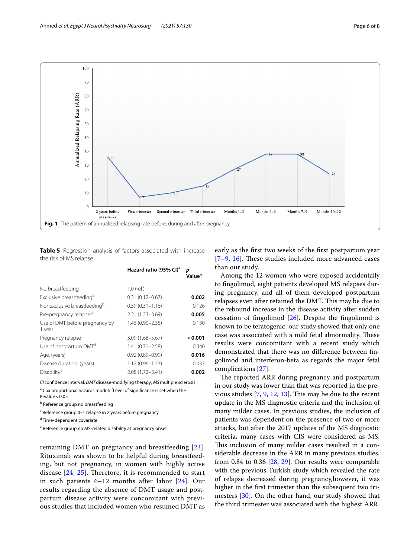

<span id="page-5-1"></span><span id="page-5-0"></span>**Table 5** Regression analysis of factors associated with increase the risk of MS relapse

|                                          | Hazard ratio (95% CI) <sup>a</sup> | р<br>Value* |
|------------------------------------------|------------------------------------|-------------|
| No breastfeeding                         | $1.0$ (ref)                        |             |
| Exclusive breastfeeding <sup>b</sup>     | $0.31(0.12 - 0.67)$                | 0.002       |
| Nonexclusive breastfeeding <sup>b</sup>  | $0.59(0.31 - 1.16)$                | 0.126       |
| Pre-pregnancy relapses <sup>c</sup>      | $2.21(1.23 - 3.69)$                | 0.005       |
| Use of DMT before pregnancy by<br>1 year | $1.46(0.90 - 2.38)$                | 0.130       |
| Pregnancy relapse                        | $3.09(1.68 - 5.67)$                | 0.001       |
| Use of postpartum DMT <sup>d</sup>       | $1.41(0.71 - 2.58)$                | 0.340       |
| Age, (years)                             | $0.92(0.89 - 0.99)$                | 0.016       |
| Disease duration, (years)                | $1.12(0.96 - 1.23)$                | 0.437       |
| Disability <sup>e</sup>                  | 2.08 (1.72-3.41)                   | 0.002       |

*CI* confdence interval; *DMT*disease-modifying therapy; *MS*multiple sclerosis <sup>a</sup> Cox proportional hazards model/<sup>\*</sup>Level of significance is set when the P-value $<$  0.05

<sup>b</sup> Reference group no breastfeeding

<sup>c</sup> Reference group 0-1 relapse in 2 years before pregnancy

<sup>d</sup> Time-dependent covariate

<sup>e</sup> Reference group no MS-related disability at pregnancy onset

remaining DMT on pregnancy and breastfeeding [[23\]](#page-7-11). Rituximab was shown to be helpful during breastfeeding, but not pregnancy, in women with highly active disease  $[24, 25]$  $[24, 25]$  $[24, 25]$  $[24, 25]$ . Therefore, it is recommended to start in such patients 6–12 months after labor [\[24\]](#page-7-12). Our results regarding the absence of DMT usage and postpartum disease activity were concomitant with previous studies that included women who resumed DMT as

early as the frst two weeks of the frst postpartum year  $[7-9, 16]$  $[7-9, 16]$  $[7-9, 16]$  $[7-9, 16]$ . These studies included more advanced cases than our study.

Among the 12 women who were exposed accidentally to fngolimod, eight patients developed MS relapses during pregnancy, and all of them developed postpartum relapses even after retained the DMT. This may be due to the rebound increase in the disease activity after sudden cessation of fngolimod [[26\]](#page-7-14). Despite the fngolimod is known to be teratogenic, our study showed that only one case was associated with a mild fetal abnormality. These results were concomitant with a recent study which demonstrated that there was no diference between fngolimod and interferon-beta as regards the major fetal complications [[27](#page-7-15)].

The reported ARR during pregnancy and postpartum in our study was lower than that was reported in the previous studies  $[7, 9, 12, 13]$  $[7, 9, 12, 13]$  $[7, 9, 12, 13]$  $[7, 9, 12, 13]$  $[7, 9, 12, 13]$  $[7, 9, 12, 13]$  $[7, 9, 12, 13]$ . This may be due to the recent update in the MS diagnostic criteria and the inclusion of many milder cases. In previous studies, the inclusion of patients was dependent on the presence of two or more attacks, but after the 2017 updates of the MS diagnostic criteria, many cases with CIS were considered as MS. This inclusion of many milder cases resulted in a considerable decrease in the ARR in many previous studies, from 0.84 to 0.36 [[28](#page-7-17), [29\]](#page-7-18). Our results were comparable with the previous Turkish study which revealed the rate of relapse decreased during pregnancy,however, it was higher in the frst trimester than the subsequent two trimesters [[30\]](#page-7-19). On the other hand, our study showed that the third trimester was associated with the highest ARR.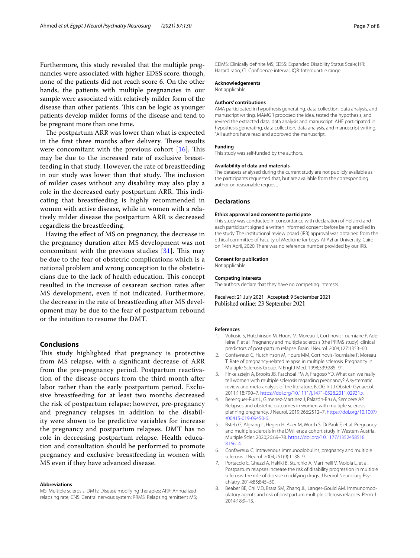Furthermore, this study revealed that the multiple pregnancies were associated with higher EDSS score, though, none of the patients did not reach score 6. On the other hands, the patients with multiple pregnancies in our sample were associated with relatively milder form of the disease than other patients. This can be logic as younger patients develop milder forms of the disease and tend to be pregnant more than one time.

The postpartum ARR was lower than what is expected in the first three months after delivery. These results were concomitant with the previous cohort  $[16]$  $[16]$ . This may be due to the increased rate of exclusive breastfeeding in that study. However, the rate of breastfeeding in our study was lower than that study. The inclusion of milder cases without any disability may also play a role in the decreased early postpartum ARR. This indicating that breastfeeding is highly recommended in women with active disease, while in women with a relatively milder disease the postpartum ARR is decreased regardless the breastfeeding.

Having the efect of MS on pregnancy, the decrease in the pregnancy duration after MS development was not concomitant with the previous studies  $[31]$ . This may be due to the fear of obstetric complications which is a national problem and wrong conception to the obstetricians due to the lack of health education. This concept resulted in the increase of cesarean section rates after MS development, even if not indicated. Furthermore, the decrease in the rate of breastfeeding after MS development may be due to the fear of postpartum rebound or the intuition to resume the DMT.

### **Conclusions**

This study highlighted that pregnancy is protective from MS relapse, with a signifcant decrease of ARR from the pre-pregnancy period. Postpartum reactivation of the disease occurs from the third month after labor rather than the early postpartum period. Exclusive breastfeeding for at least two months decreased the risk of postpartum relapse; however, pre-pregnancy and pregnancy relapses in addition to the disability were shown to be predictive variables for increase the pregnancy and postpartum relapses. DMT has no role in decreasing postpartum relapse. Health education and consultation should be performed to promote pregnancy and exclusive breastfeeding in women with MS even if they have advanced disease.

#### **Abbreviations**

MS: Multiple sclerosis; DMTs: Disease modifying therapies; ARR: Annualized relapsing rate; CNS: Central nervous system; RRMS: Relapsing remittent MS; CDMS: Clinically defnite MS; EDSS: Expanded Disability Status Scale; HR: Hazard ratio; CI: Confdence interval; IQR: Interquartile range.

### **Acknowledgements**

Not applicable.

#### **Authors' contributions**

AMA participated in hypothesis generating, data collection, data analysis, and manuscript writing. MAMGR proposed the idea, tested the hypothesis, and revised the extracted data, data analysis and manuscript. AHE participated in hypothesis generating, data collection, data analysis, and manuscript writing. `All authors have read and approved the manuscript.

### **Funding**

This study was self-funded by the authors.

#### **Availability of data and materials**

The datasets analysed during the current study are not publicly available as the participants requested that, but are available from the corresponding author on reasonable request.

### **Declarations**

#### **Ethics approval and consent to participate**

This study was conducted in concordance with declaration of Helsinki and each participant signed a written informed consent before being enrolled in the study. The institutional review board (IRB) approval was obtained from the ethical committee of Faculty of Medicine for boys, Al-Azhar University, Cairo on 14th April, 2020. There was no reference number provided by our IRB.

#### **Consent for publication**

Not applicable.

#### **Competing interests**

The authors declare that they have no competing interests.

Received: 21 July 2021 Accepted: 9 September 2021 Published online: 23 September 2021

#### **References**

- <span id="page-6-0"></span>1. Vukusic S, Hutchinson M, Hours M, Moreau T, Cortinovis-Tourniaire P, Adeleine P, et al. Pregnancy and multiple sclerosis (the PRIMS study): clinical predictors of post-partum relapse. Brain J Neurol. 2004;127:1353–60.
- <span id="page-6-1"></span>2. Confavreux C, Hutchinson M, Hours MM, Cortinovis-Tourniaire P, Moreau T. Rate of pregnancy-related relapse in multiple sclerosis. Pregnancy in Multiple Sclerosis Group. N Engl J Med. 1998;339:285–91.
- 3. Finkelsztejn A, Brooks JB, Paschoal FM Jr, Fragoso YD. What can we really tell women with multiple sclerosis regarding pregnancy? A systematic review and meta-analysis of the literature. BJOG Int J Obstetr Gynaecol. 2011;118:790–7. [https://doi.org/10.1111/j.1471-0528.2011.02931.x.](https://doi.org/10.1111/j.1471-0528.2011.02931.x)
- 4. Berenguer-Ruiz L, Gimenez-Martinez J, Palazón-Bru A, Sempere AP. Relapses and obstetric outcomes in women with multiple sclerosis planning pregnancy. J Neurol. 2019;266:2512–7. [https://doi.org/10.1007/](https://doi.org/10.1007/s00415-019-09450-6) [s00415-019-09450-6](https://doi.org/10.1007/s00415-019-09450-6).
- <span id="page-6-2"></span>5. Bsteh G, Algrang L, Hegen H, Auer M, Wurth S, Di Pauli F, et al. Pregnancy and multiple sclerosis in the DMT era: a cohort study in Western Austria. Multiple Scler. 2020;26:69–78. [https://doi.org/10.1177/1352458518](https://doi.org/10.1177/1352458518816614) [816614.](https://doi.org/10.1177/1352458518816614)
- <span id="page-6-3"></span>6. Confavreux C. Intravenous immunoglobulins, pregnancy and multiple sclerosis. J Neurol. 2004;251(9):1138–9.
- <span id="page-6-4"></span>7. Portaccio E, Ghezzi A, Hakiki B, Sturchio A, Martinelli V, Moiola L, et al. Postpartum relapses increase the risk of disability progression in multiple sclerosis: the role of disease modifying drugs. J Neurol Neurosurg Psychiatry. 2014;85:845–50.
- 8. Beaber BE, Chi MD, Brara SM, Zhang JL, Langer-Gould AM. Immunomodulatory agents and risk of postpartum multiple sclerosis relapses. Perm J. 2014;18:9–13.